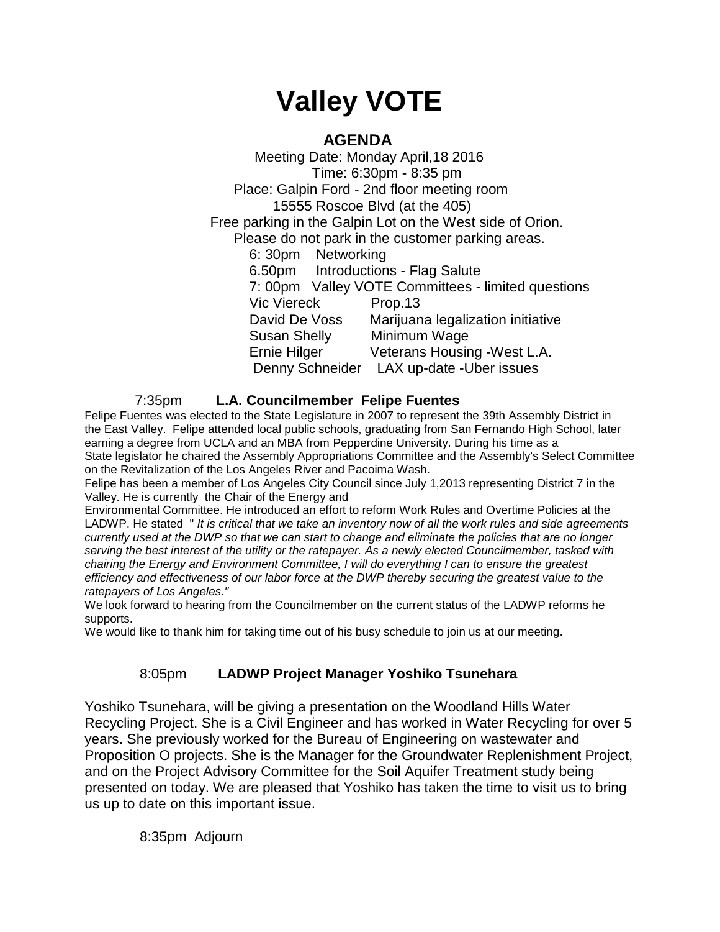# **Valley VOTE**

# **AGENDA**

 Meeting Date: Monday April,18 2016 Time: 6:30pm - 8:35 pm Place: Galpin Ford - 2nd floor meeting room 15555 Roscoe Blvd (at the 405) Free parking in the Galpin Lot on the West side of Orion. Please do not park in the customer parking areas. 6: 30pm Networking 6.50pm Introductions - Flag Salute 7: 00pm Valley VOTE Committees - limited questions Vic Viereck Prop.13 David De Voss Marijuana legalization initiative Susan Shelly Minimum Wage Ernie Hilger Veterans Housing -West L.A. Denny Schneider LAX up-date -Uber issues

### 7:35pm **L.A. Councilmember Felipe Fuentes**

Felipe Fuentes was elected to the State Legislature in 2007 to represent the 39th Assembly District in the East Valley. Felipe attended local public schools, graduating from San Fernando High School, later earning a degree from UCLA and an MBA from Pepperdine University. During his time as a State legislator he chaired the Assembly Appropriations Committee and the Assembly's Select Committee on the Revitalization of the Los Angeles River and Pacoima Wash.

Felipe has been a member of Los Angeles City Council since July 1,2013 representing District 7 in the Valley. He is currently the Chair of the Energy and

Environmental Committee. He introduced an effort to reform Work Rules and Overtime Policies at the LADWP. He stated " *It is critical that we take an inventory now of all the work rules and side agreements currently used at the DWP so that we can start to change and eliminate the policies that are no longer serving the best interest of the utility or the ratepayer. As a newly elected Councilmember, tasked with chairing the Energy and Environment Committee, I will do everything I can to ensure the greatest efficiency and effectiveness of our labor force at the DWP thereby securing the greatest value to the ratepayers of Los Angeles."*

We look forward to hearing from the Councilmember on the current status of the LADWP reforms he supports.

We would like to thank him for taking time out of his busy schedule to join us at our meeting.

## 8:05pm **LADWP Project Manager Yoshiko Tsunehara**

Yoshiko Tsunehara, will be giving a presentation on the Woodland Hills Water Recycling Project. She is a Civil Engineer and has worked in Water Recycling for over 5 years. She previously worked for the Bureau of Engineering on wastewater and Proposition O projects. She is the Manager for the Groundwater Replenishment Project, and on the Project Advisory Committee for the Soil Aquifer Treatment study being presented on today. We are pleased that Yoshiko has taken the time to visit us to bring us up to date on this important issue.

8:35pm Adjourn